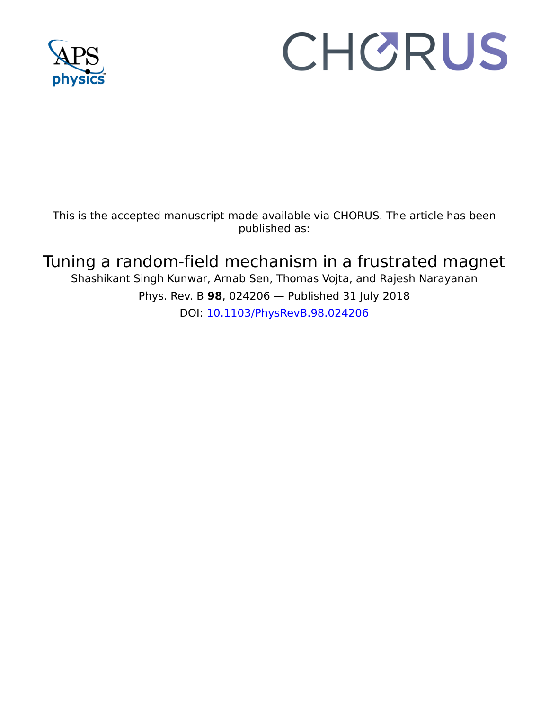

# CHORUS

This is the accepted manuscript made available via CHORUS. The article has been published as:

# Tuning a random-field mechanism in a frustrated magnet

Shashikant Singh Kunwar, Arnab Sen, Thomas Vojta, and Rajesh Narayanan Phys. Rev. B **98**, 024206 — Published 31 July 2018 DOI: [10.1103/PhysRevB.98.024206](http://dx.doi.org/10.1103/PhysRevB.98.024206)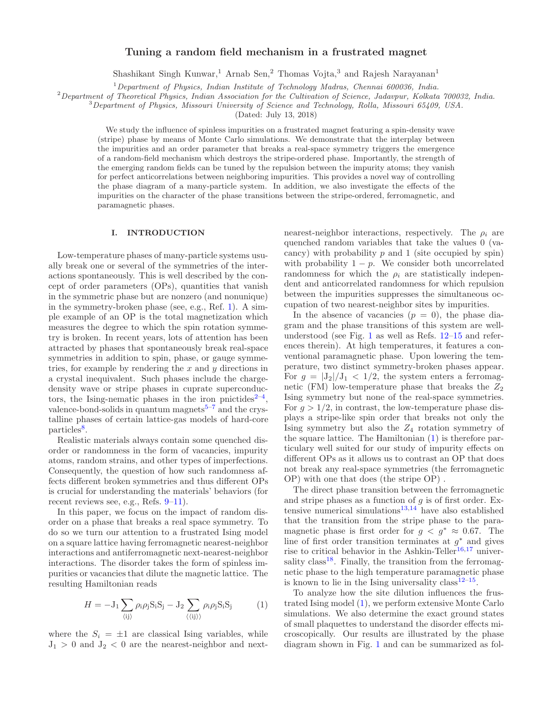# Tuning a random field mechanism in a frustrated magnet

Shashikant Singh Kunwar,<sup>1</sup> Arnab Sen,<sup>2</sup> Thomas Vojta,<sup>3</sup> and Rajesh Narayanan<sup>1</sup>

 $1$ Department of Physics, Indian Institute of Technology Madras, Chennai 600036, India.

 $2$ Department of Theoretical Physics, Indian Association for the Cultivation of Science, Jadavpur, Kolkata 700032, India.

<sup>3</sup>Department of Physics, Missouri University of Science and Technology, Rolla, Missouri 65409, USA.

(Dated: July 13, 2018)

We study the influence of spinless impurities on a frustrated magnet featuring a spin-density wave (stripe) phase by means of Monte Carlo simulations. We demonstrate that the interplay between the impurities and an order parameter that breaks a real-space symmetry triggers the emergence of a random-field mechanism which destroys the stripe-ordered phase. Importantly, the strength of the emerging random fields can be tuned by the repulsion between the impurity atoms; they vanish for perfect anticorrelations between neighboring impurities. This provides a novel way of controlling the phase diagram of a many-particle system. In addition, we also investigate the effects of the impurities on the character of the phase transitions between the stripe-ordered, ferromagnetic, and paramagnetic phases.

#### I. INTRODUCTION

Low-temperature phases of many-particle systems usually break one or several of the symmetries of the interactions spontaneously. This is well described by the concept of order parameters (OPs), quantities that vanish in the symmetric phase but are nonzero (and nonunique) in the symmetry-broken phase (see, e.g., Ref. [1\)](#page-8-0). A simple example of an OP is the total magnetization which measures the degree to which the spin rotation symmetry is broken. In recent years, lots of attention has been attracted by phases that spontaneously break real-space symmetries in addition to spin, phase, or gauge symmetries, for example by rendering the  $x$  and  $y$  directions in a crystal inequivalent. Such phases include the chargedensity wave or stripe phases in cuprate superconductors, the Ising-nematic phases in the iron pnictides<sup> $2-4$  $2-4$ </sup>, valence-bond-solids in quantum magnets $5^{-7}$  $5^{-7}$  and the crystalline phases of certain lattice-gas models of hard-core particles<sup>[8](#page-8-5)</sup>.

Realistic materials always contain some quenched disorder or randomness in the form of vacancies, impurity atoms, random strains, and other types of imperfections. Consequently, the question of how such randomness affects different broken symmetries and thus different OPs is crucial for understanding the materials' behaviors (for recent reviews see, e.g., Refs. [9](#page-8-6)[–11\)](#page-8-7).

In this paper, we focus on the impact of random disorder on a phase that breaks a real space symmetry. To do so we turn our attention to a frustrated Ising model on a square lattice having ferromagnetic nearest-neighbor interactions and antiferromagnetic next-nearest-neighbor interactions. The disorder takes the form of spinless impurities or vacancies that dilute the magnetic lattice. The resulting Hamiltonian reads

<span id="page-1-0"></span>
$$
H = -J_1 \sum_{\langle ij \rangle} \rho_i \rho_j S_i S_j - J_2 \sum_{\langle \langle ij \rangle \rangle} \rho_i \rho_j S_i S_j \tag{1}
$$

where the  $S_i = \pm 1$  are classical Ising variables, while  $J_1 > 0$  and  $J_2 < 0$  are the nearest-neighbor and nextnearest-neighbor interactions, respectively. The  $\rho_i$  are quenched random variables that take the values 0 (vacancy) with probability  $p$  and 1 (site occupied by spin) with probability  $1 - p$ . We consider both uncorrelated randomness for which the  $\rho_i$  are statistically independent and anticorrelated randomness for which repulsion between the impurities suppresses the simultaneous occupation of two nearest-neighbor sites by impurities.

In the absence of vacancies  $(p = 0)$ , the phase diagram and the phase transitions of this system are wellunderstood (see Fig. [1](#page-2-0) as well as Refs. [12](#page-8-8)[–15](#page-8-9) and references therein). At high temperatures, it features a conventional paramagnetic phase. Upon lowering the temperature, two distinct symmetry-broken phases appear. For  $g = |J_2|/J_1 < 1/2$ , the system enters a ferromagnetic (FM) low-temperature phase that breaks the  $Z_2$ Ising symmetry but none of the real-space symmetries. For  $g > 1/2$ , in contrast, the low-temperature phase displays a stripe-like spin order that breaks not only the Ising symmetry but also the  $Z_4$  rotation symmetry of the square lattice. The Hamiltonian [\(1\)](#page-1-0) is therefore particulary well suited for our study of impurity effects on different OPs as it allows us to contrast an OP that does not break any real-space symmetries (the ferromagnetic OP) with one that does (the stripe OP) .

The direct phase transition between the ferromagnetic and stripe phases as a function of  $q$  is of first order. Extensive numerical simulations $13,14$  $13,14$  have also established that the transition from the stripe phase to the paramagnetic phase is first order for  $g < g^* \approx 0.67$ . The line of first order transition terminates at  $g^*$  and gives rise to critical behavior in the Ashkin-Teller<sup>[16](#page-8-12)[,17](#page-8-13)</sup> univer-sality class<sup>[18](#page-8-14)</sup>. Finally, the transition from the ferromagnetic phase to the high temperature paramagnetic phase is known to lie in the Ising universality  $class^{12-15}$  $class^{12-15}$  $class^{12-15}$ .

To analyze how the site dilution influences the frustrated Ising model [\(1\)](#page-1-0), we perform extensive Monte Carlo simulations. We also determine the exact ground states of small plaquettes to understand the disorder effects microscopically. Our results are illustrated by the phase diagram shown in Fig. [1](#page-2-0) and can be summarized as fol-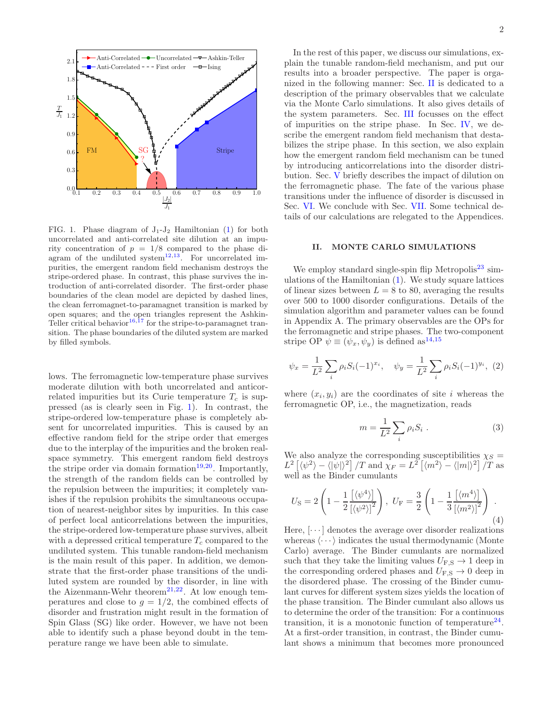

<span id="page-2-0"></span>FIG. 1. Phase diagram of  $J_1-J_2$  Hamiltonian [\(1\)](#page-1-0) for both uncorrelated and anti-correlated site dilution at an impurity concentration of  $p = 1/8$  compared to the phase diagram of the undiluted system $12,13$  $12,13$ . For uncorrelated impurities, the emergent random field mechanism destroys the stripe-ordered phase. In contrast, this phase survives the introduction of anti-correlated disorder. The first-order phase boundaries of the clean model are depicted by dashed lines, the clean ferromagnet-to-paramagnet transition is marked by open squares; and the open triangles represent the Ashkin-Teller critical behavior $16,17$  $16,17$  for the stripe-to-paramagnet transition. The phase boundaries of the diluted system are marked by filled symbols.

lows. The ferromagnetic low-temperature phase survives moderate dilution with both uncorrelated and anticorrelated impurities but its Curie temperature  $T_c$  is suppressed (as is clearly seen in Fig. [1\)](#page-2-0). In contrast, the stripe-ordered low-temperature phase is completely absent for uncorrelated impurities. This is caused by an effective random field for the stripe order that emerges due to the interplay of the impurities and the broken realspace symmetry. This emergent random field destroys the stripe order via domain formation<sup>[19](#page-9-0)[,20](#page-9-1)</sup>. Importantly, the strength of the random fields can be controlled by the repulsion between the impurities; it completely vanishes if the repulsion prohibits the simultaneous occupation of nearest-neighbor sites by impurities. In this case of perfect local anticorrelations between the impurities, the stripe-ordered low-temperature phase survives, albeit with a depressed critical temperature  $T_c$  compared to the undiluted system. This tunable random-field mechanism is the main result of this paper. In addition, we demonstrate that the first-order phase transitions of the undiluted system are rounded by the disorder, in line with the Aizenmann-Wehr theorem<sup>[21](#page-9-2)[,22](#page-9-3)</sup>. At low enough temperatures and close to  $q = 1/2$ , the combined effects of disorder and frustration might result in the formation of Spin Glass (SG) like order. However, we have not been able to identify such a phase beyond doubt in the temperature range we have been able to simulate.

In the rest of this paper, we discuss our simulations, explain the tunable random-field mechanism, and put our results into a broader perspective. The paper is organized in the following manner: Sec. [II](#page-2-1) is dedicated to a description of the primary observables that we calculate via the Monte Carlo simulations. It also gives details of the system parameters. Sec. [III](#page-3-0) focusses on the effect of impurities on the stripe phase. In Sec. [IV,](#page-4-0) we describe the emergent random field mechanism that destabilizes the stripe phase. In this section, we also explain how the emergent random field mechanism can be tuned by introducing anticorrelations into the disorder distribution. Sec. [V](#page-4-1) briefly describes the impact of dilution on the ferromagnetic phase. The fate of the various phase transitions under the influence of disorder is discussed in Sec. [VI.](#page-4-2) We conclude with Sec. [VII.](#page-5-0) Some technical details of our calculations are relegated to the Appendices.

#### <span id="page-2-1"></span>II. MONTE CARLO SIMULATIONS

We employ standard single-spin flip Metropolis<sup>[23](#page-9-4)</sup> simulations of the Hamiltonian [\(1\)](#page-1-0). We study square lattices of linear sizes between  $L = 8$  to 80, averaging the results over 500 to 1000 disorder configurations. Details of the simulation algorithm and parameter values can be found in Appendix A. The primary observables are the OPs for the ferromagnetic and stripe phases. The two-component stripe OP  $\psi \equiv (\psi_x, \psi_y)$  is defined as<sup>[14](#page-8-11)[,15](#page-8-9)</sup>

<span id="page-2-2"></span>
$$
\psi_x = \frac{1}{L^2} \sum_i \rho_i S_i (-1)^{x_i}, \quad \psi_y = \frac{1}{L^2} \sum_i \rho_i S_i (-1)^{y_i}, \tag{2}
$$

where  $(x_i, y_i)$  are the coordinates of site i whereas the ferromagnetic OP, i.e., the magnetization, reads

$$
m = \frac{1}{L^2} \sum_{i} \rho_i S_i . \qquad (3)
$$

We also analyze the corresponding susceptibilities  $\chi_S =$  $L^2 \left[ \langle \psi^2 \rangle - \langle |\psi| \rangle^2 \right] / T$  and  $\chi_F = L^2 \left[ \langle m^2 \rangle - \langle |m| \rangle^2 \right] / T$  as well as the Binder cumulants

$$
U_{\rm S} = 2\left(1 - \frac{1}{2} \frac{\left[\langle \psi^4 \rangle\right]}{\left[\langle \psi^2 \rangle\right]^2}\right), \ U_{\rm F} = \frac{3}{2}\left(1 - \frac{1}{3} \frac{\left[\langle m^4 \rangle\right]}{\left[\langle m^2 \rangle\right]^2}\right). \tag{4}
$$

Here,  $[\cdots]$  denotes the average over disorder realizations whereas  $\langle \cdots \rangle$  indicates the usual thermodynamic (Monte Carlo) average. The Binder cumulants are normalized such that they take the limiting values  $U_{F,S} \rightarrow 1$  deep in the corresponding ordered phases and  $U_{F,S} \rightarrow 0$  deep in the disordered phase. The crossing of the Binder cumulant curves for different system sizes yields the location of the phase transition. The Binder cumulant also allows us to determine the order of the transition: For a continuous transition, it is a monotonic function of temperature<sup>[24](#page-9-5)</sup>. At a first-order transition, in contrast, the Binder cumulant shows a minimum that becomes more pronounced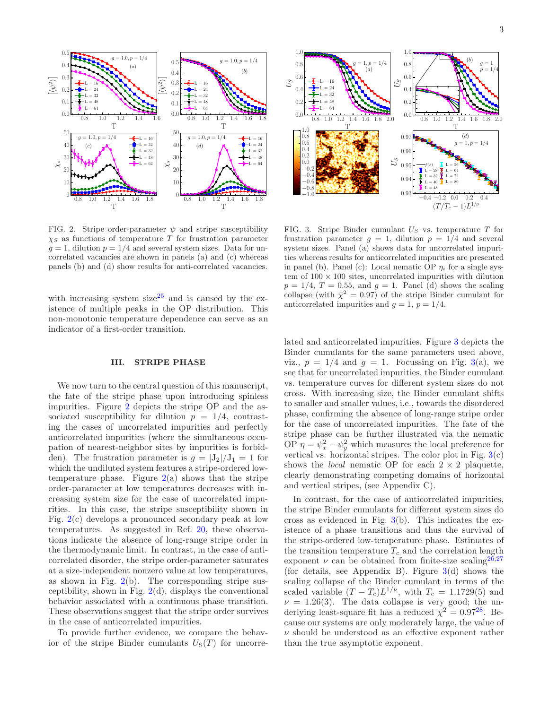

<span id="page-3-1"></span>FIG. 2. Stripe order-parameter  $\psi$  and stripe susceptibility  $\chi_S$  as functions of temperature T for frustration parameter  $q = 1$ , dilution  $p = 1/4$  and several system sizes. Data for uncorrelated vacancies are shown in panels (a) and (c) whereas panels (b) and (d) show results for anti-correlated vacancies.

with increasing system  $size^{25}$  $size^{25}$  $size^{25}$  and is caused by the existence of multiple peaks in the OP distribution. This non-monotonic temperature dependence can serve as an indicator of a first-order transition.

#### <span id="page-3-0"></span>III. STRIPE PHASE

We now turn to the central question of this manuscript, the fate of the stripe phase upon introducing spinless impurities. Figure [2](#page-3-1) depicts the stripe OP and the associated susceptibility for dilution  $p = 1/4$ , contrasting the cases of uncorrelated impurities and perfectly anticorrelated impurities (where the simultaneous occupation of nearest-neighbor sites by impurities is forbidden). The frustration parameter is  $g = |J_2|/J_1 = 1$  for which the undiluted system features a stripe-ordered lowtemperature phase. Figure  $2(a)$  $2(a)$  shows that the stripe order-parameter at low temperatures decreases with increasing system size for the case of uncorrelated impurities. In this case, the stripe susceptibility shown in Fig. [2\(](#page-3-1)c) develops a pronounced secondary peak at low temperatures. As suggested in Ref. [20](#page-9-1), these observations indicate the absence of long-range stripe order in the thermodynamic limit. In contrast, in the case of anticorrelated disorder, the stripe order-parameter saturates at a size-independent nonzero value at low temperatures, as shown in Fig.  $2(b)$  $2(b)$ . The corresponding stripe susceptibility, shown in Fig.  $2(d)$  $2(d)$ , displays the conventional behavior associated with a continuous phase transition. These observations suggest that the stripe order survives in the case of anticorrelated impurities.

To provide further evidence, we compare the behavior of the stripe Binder cumulants  $U_{\rm S}(T)$  for uncorre-



<span id="page-3-2"></span>FIG. 3. Stripe Binder cumulant  $U<sub>S</sub>$  vs. temperature T for frustration parameter  $q = 1$ , dilution  $p = 1/4$  and several system sizes. Panel (a) shows data for uncorrelated impurities whereas results for anticorrelated impurities are presented in panel (b). Panel (c): Local nematic OP  $\eta_i$  for a single system of  $100 \times 100$  sites, uncorrelated impurities with dilution  $p = 1/4$ ,  $T = 0.55$ , and  $q = 1$ . Panel (d) shows the scaling collapse (with  $\bar{\chi}^2 = 0.97$ ) of the stripe Binder cumulant for anticorrelated impurities and  $q = 1$ ,  $p = 1/4$ .

lated and anticorrelated impurities. Figure [3](#page-3-2) depicts the Binder cumulants for the same parameters used above, viz.,  $p = 1/4$  and  $q = 1$ . Focussing on Fig. [3\(](#page-3-2)a), we see that for uncorrelated impurities, the Binder cumulant vs. temperature curves for different system sizes do not cross. With increasing size, the Binder cumulant shifts to smaller and smaller values, i.e., towards the disordered phase, confirming the absence of long-range stripe order for the case of uncorrelated impurities. The fate of the stripe phase can be further illustrated via the nematic OP  $\eta = \psi_x^2 - \psi_y^2$  which measures the local preference for vertical vs. horizontal stripes. The color plot in Fig.  $3(c)$  $3(c)$ shows the *local* nematic OP for each  $2 \times 2$  plaquette, clearly demonstrating competing domains of horizontal and vertical stripes, (see Appendix C).

In contrast, for the case of anticorrelated impurities, the stripe Binder cumulants for different system sizes do cross as evidenced in Fig.  $3(b)$  $3(b)$ . This indicates the existence of a phase transitions and thus the survival of the stripe-ordered low-temperature phase. Estimates of the transition temperature  $T_c$  and the correlation length exponent  $\nu$  can be obtained from finite-size scaling<sup>[26](#page-9-7)[,27](#page-9-8)</sup> (for details, see Appendix B). Figure  $3(d)$  $3(d)$  shows the scaling collapse of the Binder cumulant in terms of the scaled variable  $(T - T_c)L^{1/\nu}$ , with  $T_c = 1.1729(5)$  and  $\nu = 1.26(3)$ . The data collapse is very good; the underlying least-square fit has a reduced  $\bar{\chi}^2 = 0.97^{28}$  $\bar{\chi}^2 = 0.97^{28}$  $\bar{\chi}^2 = 0.97^{28}$ . Because our systems are only moderately large, the value of  $\nu$  should be understood as an effective exponent rather than the true asymptotic exponent.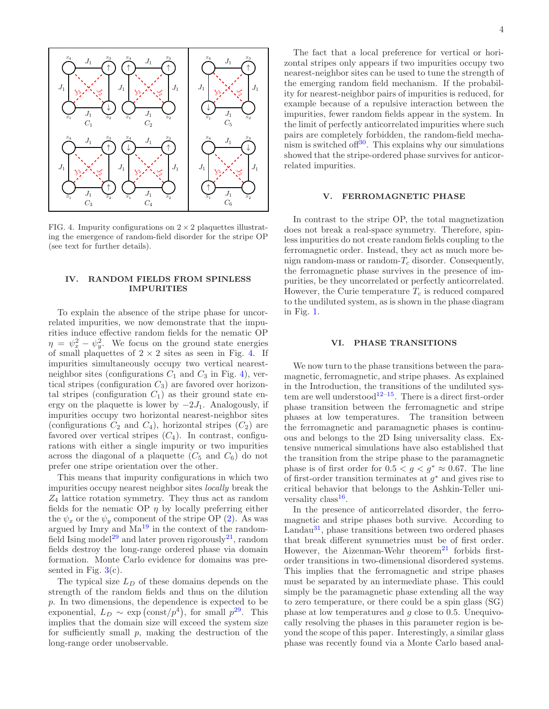

<span id="page-4-3"></span>FIG. 4. Impurity configurations on  $2 \times 2$  plaquettes illustrating the emergence of random-field disorder for the stripe OP (see text for further details).

# <span id="page-4-0"></span>IV. RANDOM FIELDS FROM SPINLESS IMPURITIES

To explain the absence of the stripe phase for uncorrelated impurities, we now demonstrate that the impurities induce effective random fields for the nematic OP  $\eta = \psi_x^2 - \psi_y^2$ . We focus on the ground state energies of small plaquettes of  $2 \times 2$  sites as seen in Fig. [4.](#page-4-3) If impurities simultaneously occupy two vertical nearestneighbor sites (configurations  $C_1$  and  $C_3$  in Fig. [4\)](#page-4-3), vertical stripes (configuration  $C_3$ ) are favored over horizontal stripes (configuration  $C_1$ ) as their ground state energy on the plaquette is lower by  $-2J_1$ . Analogously, if impurities occupy two horizontal nearest-neighbor sites (configurations  $C_2$  and  $C_4$ ), horizontal stripes  $(C_2)$  are favored over vertical stripes  $(C_4)$ . In contrast, configurations with either a single impurity or two impurities across the diagonal of a plaquette  $(C_5 \text{ and } C_6)$  do not prefer one stripe orientation over the other.

This means that impurity configurations in which two impurities occupy nearest neighbor sites locally break the  $Z_4$  lattice rotation symmetry. They thus act as random fields for the nematic OP  $\eta$  by locally preferring either the  $\psi_x$  or the  $\psi_y$  component of the stripe OP [\(2\)](#page-2-2). As was [a](#page-9-0)rgued by Imry and  $Ma^{19}$  in the context of the random-field Ising model<sup>[29](#page-9-10)</sup> and later proven rigorously<sup>[21](#page-9-2)</sup>, random fields destroy the long-range ordered phase via domain formation. Monte Carlo evidence for domains was presented in Fig.  $3(c)$  $3(c)$ .

The typical size  $L_D$  of these domains depends on the strength of the random fields and thus on the dilution p. In two dimensions, the dependence is expected to be ex[p](#page-9-10)onential,  $L_D \sim \exp(\text{const}/p^4)$ , for small  $p^{29}$ . This implies that the domain size will exceed the system size for sufficiently small  $p$ , making the destruction of the long-range order unobservable.

The fact that a local preference for vertical or horizontal stripes only appears if two impurities occupy two nearest-neighbor sites can be used to tune the strength of the emerging random field mechanism. If the probability for nearest-neighbor pairs of impurities is reduced, for example because of a repulsive interaction between the impurities, fewer random fields appear in the system. In the limit of perfectly anticorrelated impurities where such pairs are completely forbidden, the random-field mechanism is switched of  $f^{30}$ . This explains why our simulations showed that the stripe-ordered phase survives for anticorrelated impurities.

#### <span id="page-4-1"></span>V. FERROMAGNETIC PHASE

In contrast to the stripe OP, the total magnetization does not break a real-space symmetry. Therefore, spinless impurities do not create random fields coupling to the ferromagnetic order. Instead, they act as much more benign random-mass or random- $T_c$  disorder. Consequently, the ferromagnetic phase survives in the presence of impurities, be they uncorrelated or perfectly anticorrelated. However, the Curie temperature  $T_c$  is reduced compared to the undiluted system, as is shown in the phase diagram in Fig. [1.](#page-2-0)

# <span id="page-4-2"></span>VI. PHASE TRANSITIONS

We now turn to the phase transitions between the paramagnetic, ferromagnetic, and stripe phases. As explained in the Introduction, the transitions of the undiluted sys-tem are well understood<sup>[12](#page-8-8)[–15](#page-8-9)</sup>. There is a direct first-order phase transition between the ferromagnetic and stripe phases at low temperatures. The transition between the ferromagnetic and paramagnetic phases is continuous and belongs to the 2D Ising universality class. Extensive numerical simulations have also established that the transition from the stripe phase to the paramagnetic phase is of first order for  $0.5 < g < g^* \approx 0.67$ . The line of first-order transition terminates at  $g^*$  and gives rise to critical behavior that belongs to the Ashkin-Teller uni-versality class<sup>[16](#page-8-12)</sup>.

In the presence of anticorrelated disorder, the ferromagnetic and stripe phases both survive. According to Landau $31$ , phase transitions between two ordered phases that break different symmetries must be of first order. However, the Aizenman-Wehr theorem<sup>[21](#page-9-2)</sup> forbids firstorder transitions in two-dimensional disordered systems. This implies that the ferromagnetic and stripe phases must be separated by an intermediate phase. This could simply be the paramagnetic phase extending all the way to zero temperature, or there could be a spin glass (SG) phase at low temperatures and g close to 0.5. Unequivocally resolving the phases in this parameter region is beyond the scope of this paper. Interestingly, a similar glass phase was recently found via a Monte Carlo based anal-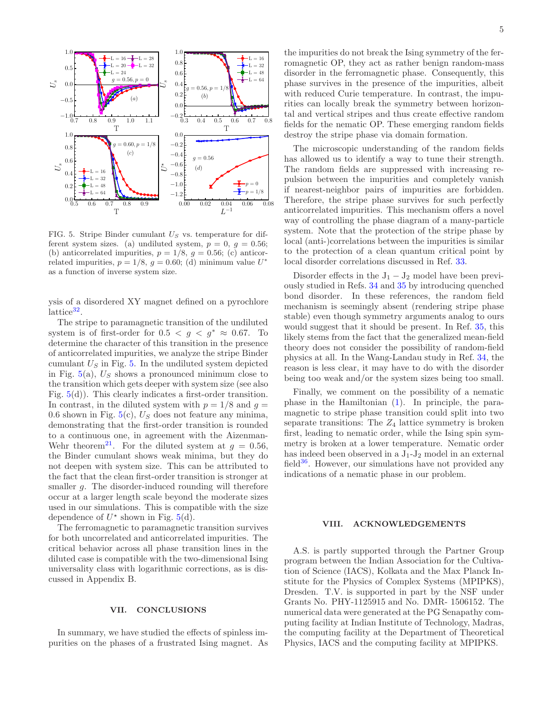

<span id="page-5-1"></span>FIG. 5. Stripe Binder cumulant  $U<sub>S</sub>$  vs. temperature for different system sizes. (a) undiluted system,  $p = 0$ ,  $q = 0.56$ ; (b) anticorrelated impurities,  $p = 1/8$ ,  $q = 0.56$ ; (c) anticorrelated impurities,  $p = 1/8$ ,  $q = 0.60$ ; (d) minimum value  $U^*$ as a function of inverse system size.

ysis of a disordered XY magnet defined on a pyrochlore  $lattice<sup>32</sup>$  $lattice<sup>32</sup>$  $lattice<sup>32</sup>$ .

The stripe to paramagnetic transition of the undiluted system is of first-order for  $0.5 < g < g^* \approx 0.67$ . To determine the character of this transition in the presence of anticorrelated impurities, we analyze the stripe Binder cumulant  $U<sub>S</sub>$  in Fig. [5.](#page-5-1) In the undiluted system depicted in Fig.  $5(a)$  $5(a)$ ,  $U<sub>S</sub>$  shows a pronounced minimum close to the transition which gets deeper with system size (see also Fig. [5\(](#page-5-1)d)). This clearly indicates a first-order transition. In contrast, in the diluted system with  $p = 1/8$  and  $q =$ 0.6 shown in Fig.  $5(c)$  $5(c)$ ,  $U<sub>S</sub>$  does not feature any minima, demonstrating that the first-order transition is rounded to a continuous one, in agreement with the AizenmanWehr theore[m](#page-9-2)<sup>21</sup>. For the diluted system at  $q = 0.56$ , the Binder cumulant shows weak minima, but they do not deepen with system size. This can be attributed to the fact that the clean first-order transition is stronger at smaller  $q$ . The disorder-induced rounding will therefore occur at a larger length scale beyond the moderate sizes used in our simulations. This is compatible with the size dependence of  $U^*$  shown in Fig. [5\(](#page-5-1)d).

The ferromagnetic to paramagnetic transition survives for both uncorrelated and anticorrelated impurities. The critical behavior across all phase transition lines in the diluted case is compatible with the two-dimensional Ising universality class with logarithmic corrections, as is discussed in Appendix B.

#### <span id="page-5-0"></span>VII. CONCLUSIONS

In summary, we have studied the effects of spinless impurities on the phases of a frustrated Ising magnet. As

the impurities do not break the Ising symmetry of the ferromagnetic OP, they act as rather benign random-mass disorder in the ferromagnetic phase. Consequently, this phase survives in the presence of the impurities, albeit with reduced Curie temperature. In contrast, the impurities can locally break the symmetry between horizontal and vertical stripes and thus create effective random fields for the nematic OP. These emerging random fields destroy the stripe phase via domain formation.

The microscopic understanding of the random fields has allowed us to identify a way to tune their strength. The random fields are suppressed with increasing repulsion between the impurities and completely vanish if nearest-neighbor pairs of impurities are forbidden. Therefore, the stripe phase survives for such perfectly anticorrelated impurities. This mechanism offers a novel way of controlling the phase diagram of a many-particle system. Note that the protection of the stripe phase by local (anti-)correlations between the impurities is similar to the protection of a clean quantum critical point by local disorder correlations discussed in Ref. [33.](#page-9-14)

Disorder effects in the  $J_1 - J_2$  model have been previously studied in Refs. [34](#page-9-15) and [35](#page-9-16) by introducing quenched bond disorder. In these references, the random field mechanism is seemingly absent (rendering stripe phase stable) even though symmetry arguments analog to ours would suggest that it should be present. In Ref. [35,](#page-9-16) this likely stems from the fact that the generalized mean-field theory does not consider the possibility of random-field physics at all. In the Wang-Landau study in Ref. [34,](#page-9-15) the reason is less clear, it may have to do with the disorder being too weak and/or the system sizes being too small.

Finally, we comment on the possibility of a nematic phase in the Hamiltonian [\(1\)](#page-1-0). In principle, the paramagnetic to stripe phase transition could split into two separate transitions: The  $Z_4$  lattice symmetry is broken first, leading to nematic order, while the Ising spin symmetry is broken at a lower temperature. Nematic order has indeed been observed in a  $J_1-J_2$  model in an external field $36$ . However, our simulations have not provided any indications of a nematic phase in our problem.

#### VIII. ACKNOWLEDGEMENTS

A.S. is partly supported through the Partner Group program between the Indian Association for the Cultivation of Science (IACS), Kolkata and the Max Planck Institute for the Physics of Complex Systems (MPIPKS), Dresden. T.V. is supported in part by the NSF under Grants No. PHY-1125915 and No. DMR- 1506152. The numerical data were generated at the PG Senapathy computing facility at Indian Institute of Technology, Madras, the computing facility at the Department of Theoretical Physics, IACS and the computing facility at MPIPKS.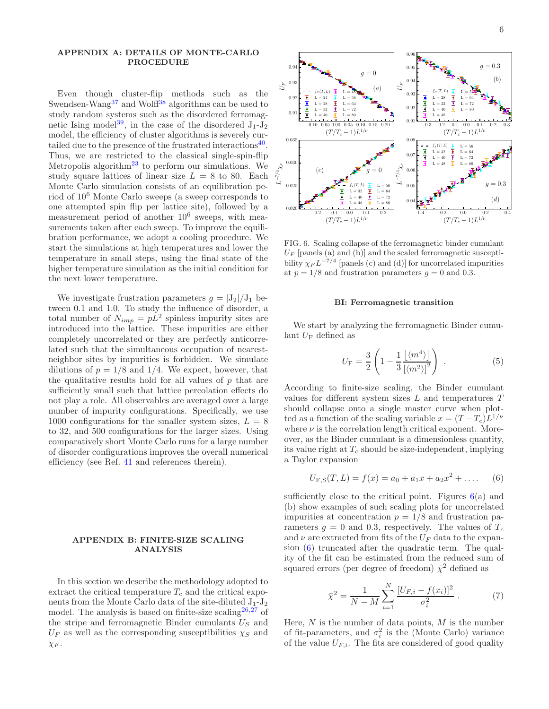#### APPENDIX A: DETAILS OF MONTE-CARLO PROCEDURE

Even though cluster-flip methods such as the Swendsen-Wang<sup>[37](#page-9-18)</sup> and Wolff<sup>[38](#page-9-19)</sup> algorithms can be used to study random systems such as the disordered ferromag-netic Ising model<sup>[39](#page-9-20)</sup>, in the case of the disordered  $J_1-J_2$ model, the efficiency of cluster algorithms is severely cur-tailed due to the presence of the frustrated interactions<sup>[40](#page-9-21)</sup>. Thus, we are restricted to the classical single-spin-flip Metropolis algorithm<sup>[23](#page-9-4)</sup> to perform our simulations. We study square lattices of linear size  $L = 8$  to 80. Each Monte Carlo simulation consists of an equilibration period of 10<sup>6</sup> Monte Carlo sweeps (a sweep corresponds to one attempted spin flip per lattice site), followed by a measurement period of another  $10^6$  sweeps, with measurements taken after each sweep. To improve the equilibration performance, we adopt a cooling procedure. We start the simulations at high temperatures and lower the temperature in small steps, using the final state of the higher temperature simulation as the initial condition for the next lower temperature.

We investigate frustration parameters  $g = |J_2|/J_1$  between 0.1 and 1.0. To study the influence of disorder, a total number of  $N_{imp} = pL^2$  spinless impurity sites are introduced into the lattice. These impurities are either completely uncorrelated or they are perfectly anticorrelated such that the simultaneous occupation of nearestneighbor sites by impurities is forbidden. We simulate dilutions of  $p = 1/8$  and 1/4. We expect, however, that the qualitative results hold for all values of  $p$  that are sufficiently small such that lattice percolation effects do not play a role. All observables are averaged over a large number of impurity configurations. Specifically, we use 1000 configurations for the smaller system sizes,  $L = 8$ to 32, and 500 configurations for the larger sizes. Using comparatively short Monte Carlo runs for a large number of disorder configurations improves the overall numerical efficiency (see Ref. [41](#page-9-22) and references therein).

## APPENDIX B: FINITE-SIZE SCALING ANALYSIS

In this section we describe the methodology adopted to extract the critical temperature  $T_c$  and the critical exponents from the Monte Carlo data of the site-diluted  $J_1-J_2$ model. The analysis is based on finite-size scalin[g](#page-9-7)  $26.27$  of the stripe and ferromagnetic Binder cumulants  $U<sub>S</sub>$  and  $U_F$  as well as the corresponding susceptibilities  $\chi_S$  and  $\chi_F$ .



<span id="page-6-0"></span>FIG. 6. Scaling collapse of the ferromagnetic binder cumulant  $U_F$  [panels (a) and (b)] and the scaled ferromagnetic susceptibility  $\chi_F L^{-7/4}$  [panels (c) and (d)] for uncorrelated impurities at  $p = 1/8$  and frustration parameters  $q = 0$  and 0.3.

#### BI: Ferromagnetic transition

We start by analyzing the ferromagnetic Binder cumulant  $U_F$  defined as

$$
U_{\rm F} = \frac{3}{2} \left( 1 - \frac{1}{3} \frac{\left[ \langle m^4 \rangle \right]}{\left[ \langle m^2 \rangle \right]^2} \right) \ . \tag{5}
$$

According to finite-size scaling, the Binder cumulant values for different system sizes  $L$  and temperatures  $T$ should collapse onto a single master curve when plotted as a function of the scaling variable  $x = (T - T_c)L^{1/\nu}$ where  $\nu$  is the correlation length critical exponent. Moreover, as the Binder cumulant is a dimensionless quantity, its value right at  $T_c$  should be size-independent, implying a Taylor expansion

<span id="page-6-1"></span>
$$
U_{\mathcal{F},\mathcal{S}}(T,L) = f(x) = a_0 + a_1x + a_2x^2 + \dots \qquad (6)
$$

sufficiently close to the critical point. Figures  $6(a)$  $6(a)$  and (b) show examples of such scaling plots for uncorrelated impurities at concentration  $p = 1/8$  and frustration parameters  $g = 0$  and 0.3, respectively. The values of  $T_c$ and  $\nu$  are extracted from fits of the  $U_F$  data to the expansion [\(6\)](#page-6-1) truncated after the quadratic term. The quality of the fit can be estimated from the reduced sum of squared errors (per degree of freedom)  $\bar{\chi}^2$  defined as

$$
\bar{\chi}^2 = \frac{1}{N - M} \sum_{i=1}^{N} \frac{[U_{F,i} - f(x_i)]^2}{\sigma_i^2} . \tag{7}
$$

Here,  $N$  is the number of data points,  $M$  is the number of fit-parameters, and  $\sigma_i^2$  is the (Monte Carlo) variance of the value  $U_{F,i}$ . The fits are considered of good quality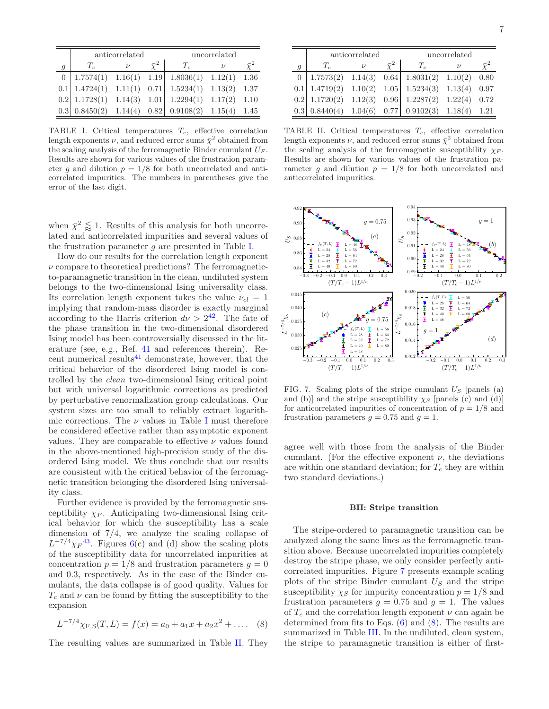|   | anticorrelated |               |  | uncorrelated                                                                                          |  |      |  |
|---|----------------|---------------|--|-------------------------------------------------------------------------------------------------------|--|------|--|
| g | $T_c$          | $\mathcal{U}$ |  | $T_c$                                                                                                 |  |      |  |
|   |                |               |  | $0\ \left \ 1.7574(1)\quad 1.16(1)\quad 1.19\right \ \left 1.8036(1)\quad 1.12(1)\quad 1.36\ \right.$ |  |      |  |
|   |                |               |  | $0.1 \begin{array}{c cc} 1.4724(1) & 1.11(1) & 0.71 & 1.5234(1) & 1.13(2) & 1.37 \end{array}$         |  |      |  |
|   |                |               |  |                                                                                                       |  |      |  |
|   |                |               |  | $0.3 \begin{bmatrix} 0.8450(2) & 1.14(4) & 0.82 \end{bmatrix}$ $0.9108(2)$ 1.15(4)                    |  | 1.45 |  |

<span id="page-7-0"></span>TABLE I. Critical temperatures  $T_c$ , effective correlation length exponents  $\nu$ , and reduced error sums  $\bar{\chi}^2$  obtained from the scaling analysis of the ferromagnetic Binder cumulant  $U_F$ . Results are shown for various values of the frustration parameter q and dilution  $p = 1/8$  for both uncorrelated and anticorrelated impurities. The numbers in parentheses give the error of the last digit.

when  $\bar{\chi}^2 \lessapprox 1$ . Results of this analysis for both uncorrelated and anticorrelated impurities and several values of the frustration parameter  $g$  are presented in Table [I.](#page-7-0)

How do our results for the correlation length exponent  $\nu$  compare to theoretical predictions? The ferromagneticto-paramagnetic transition in the clean, undiluted system belongs to the two-dimensional Ising universality class. Its correlation length exponent takes the value  $\nu_{cl} = 1$ implying that random-mass disorder is exactly marginal according to the Harris criterion  $d\nu > 2^{42}$  $d\nu > 2^{42}$  $d\nu > 2^{42}$ . The fate of the phase transition in the two-dimensional disordered Ising model has been controversially discussed in the literature (see, e.g., Ref. [41](#page-9-22) and references therein). Recent numerical results $41$  demonstrate, however, that the critical behavior of the disordered Ising model is controlled by the clean two-dimensional Ising critical point but with universal logarithmic corrections as predicted by perturbative renormalization group calculations. Our system sizes are too small to reliably extract logarithmic corrections. The  $\nu$  values in Table [I](#page-7-0) must therefore be considered effective rather than asymptotic exponent values. They are comparable to effective  $\nu$  values found in the above-mentioned high-precision study of the disordered Ising model. We thus conclude that our results are consistent with the critical behavior of the ferromagnetic transition belonging the disordered Ising universality class.

Further evidence is provided by the ferromagnetic susceptibility  $\chi_F$ . Anticipating two-dimensional Ising critical behavior for which the susceptibility has a scale dimension of 7/4, we analyze the scaling collapse of  $L^{-7/4}\chi_F^{-43}$  $L^{-7/4}\chi_F^{-43}$  $L^{-7/4}\chi_F^{-43}$ . Figures [6\(](#page-6-0)c) and (d) show the scaling plots of the susceptibility data for uncorrelated impurities at concentration  $p = 1/8$  and frustration parameters  $q = 0$ and 0.3, respectively. As in the case of the Binder cumulants, the data collapse is of good quality. Values for  $T_c$  and  $\nu$  can be found by fitting the susceptibility to the expansion

<span id="page-7-3"></span>
$$
L^{-7/4} \chi_{F,S}(T, L) = f(x) = a_0 + a_1 x + a_2 x^2 + \dots
$$
 (8)

The resulting values are summarized in Table [II.](#page-7-1) They

|                  | anticorrelated |               |  | uncorrelated                                                                                        |                |      |  |
|------------------|----------------|---------------|--|-----------------------------------------------------------------------------------------------------|----------------|------|--|
| $\boldsymbol{q}$ | $T_c$          | $\mathcal{U}$ |  |                                                                                                     | $\overline{U}$ |      |  |
|                  |                |               |  | $0\ \left \ 1.7573(2)\quad 1.14(3)\quad 0.64\ \right \ 1.8031(2)\quad 1.10(2)\quad \overline{0.80}$ |                |      |  |
|                  |                |               |  | $0.1\begin{pmatrix} 1.4719(2) & 1.10(2) & 1.05 \end{pmatrix}$ 1.5234(3) 1.13(4) 0.97                |                |      |  |
|                  |                |               |  | $0.2\begin{array}{ l} 1.1720(2) & 1.12(3) & 0.96 \end{array}$ 1.2287(2) 1.22(4) 0.72                |                |      |  |
| 0.3              |                |               |  | $0.8440(4)$ $1.04(6)$ $0.77$ $0.9102(3)$ $1.18(4)$                                                  |                | 1.21 |  |

<span id="page-7-1"></span>TABLE II. Critical temperatures  $T_c$ , effective correlation length exponents  $\nu$ , and reduced error sums  $\bar{\chi}^2$  obtained from the scaling analysis of the ferromagnetic susceptibility  $\chi_F$ . Results are shown for various values of the frustration parameter g and dilution  $p = 1/8$  for both uncorrelated and anticorrelated impurities.



<span id="page-7-2"></span>FIG. 7. Scaling plots of the stripe cumulant  $U<sub>S</sub>$  [panels (a) and (b)] and the stripe susceptibility  $\chi_S$  [panels (c) and (d)] for anticorrelated impurities of concentration of  $p = 1/8$  and frustration parameters  $g = 0.75$  and  $g = 1$ .

agree well with those from the analysis of the Binder cumulant. (For the effective exponent  $\nu$ , the deviations are within one standard deviation; for  $T_c$  they are within two standard deviations.)

#### BII: Stripe transition

The stripe-ordered to paramagnetic transition can be analyzed along the same lines as the ferromagnetic transition above. Because uncorrelated impurities completely destroy the stripe phase, we only consider perfectly anticorrelated impurities. Figure [7](#page-7-2) presents example scaling plots of the stripe Binder cumulant  $U<sub>S</sub>$  and the stripe susceptibility  $\chi_S$  for impurity concentration  $p = 1/8$  and frustration parameters  $q = 0.75$  and  $q = 1$ . The values of  $T_c$  and the correlation length exponent  $\nu$  can again be determined from fits to Eqs.  $(6)$  and  $(8)$ . The results are summarized in Table [III.](#page-8-15) In the undiluted, clean system, the stripe to paramagnetic transition is either of first-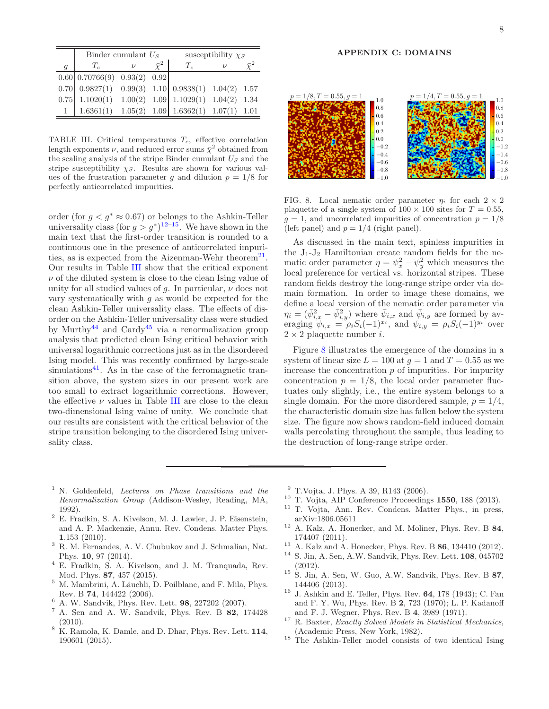|                | Binder cumulant $U_s$                                                                     |       |  | susceptibility $\chi_S$                                   |                  |  |
|----------------|-------------------------------------------------------------------------------------------|-------|--|-----------------------------------------------------------|------------------|--|
| $\mathfrak{g}$ | $T_c$                                                                                     | $\nu$ |  | $T_c$                                                     | $\overline{\nu}$ |  |
|                | 0.60   0.70766(9) 0.93(2) 0.92                                                            |       |  |                                                           |                  |  |
|                | $0.70\begin{array}{ l} 0.9827(1) & 0.99(3) & 1.10 \end{array}$ $0.9838(1)$ $1.04(2)$ 1.57 |       |  |                                                           |                  |  |
|                |                                                                                           |       |  |                                                           |                  |  |
|                |                                                                                           |       |  | $1.6361(1)$ $1.05(2)$ $1.09$ $1.6362(1)$ $1.07(1)$ $1.01$ |                  |  |

<span id="page-8-15"></span>TABLE III. Critical temperatures  $T_c$ , effective correlation length exponents  $\nu$ , and reduced error sums  $\bar{\chi}^2$  obtained from the scaling analysis of the stripe Binder cumulant  $U<sub>S</sub>$  and the stripe susceptibility  $\chi_S$ . Results are shown for various values of the frustration parameter g and dilution  $p = 1/8$  for perfectly anticorrelated impurities.

order (for  $g < g^* \approx 0.67$ ) or belongs to the Ashkin-Teller universality class (for  $g > g^*$ )<sup>[12](#page-8-8)[–15](#page-8-9)</sup>. We have shown in the main text that the first-order transition is rounded to a continuous one in the presence of anticorrelated impuri-ties, as is expected from the Aizenman-Wehr theorem<sup>[21](#page-9-2)</sup>. Our results in Table [III](#page-8-15) show that the critical exponent  $\nu$  of the diluted system is close to the clean Ising value of unity for all studied values of g. In particular,  $\nu$  does not vary systematically with  $g$  as would be expected for the clean Ashkin-Teller universality class. The effects of disorder on the Ashkin-Teller universality class were studied by Murthy<sup>[44](#page-9-25)</sup> and Card[y](#page-9-26)<sup>45</sup> via a renormalization group analysis that predicted clean Ising critical behavior with universal logarithmic corrections just as in the disordered Ising model. This was recently confirmed by large-scale simulations<sup>[41](#page-9-22)</sup>. As in the case of the ferromagnetic transition above, the system sizes in our present work are too small to extract logarithmic corrections. However, the effective  $\nu$  values in Table [III](#page-8-15) are close to the clean two-dimensional Ising value of unity. We conclude that our results are consistent with the critical behavior of the stripe transition belonging to the disordered Ising universality class.

## APPENDIX C: DOMAINS



<span id="page-8-16"></span>FIG. 8. Local nematic order parameter  $\eta_i$  for each  $2 \times 2$ plaquette of a single system of  $100 \times 100$  sites for  $T = 0.55$ ,  $g = 1$ , and uncorrelated impurities of concentration  $p = 1/8$ (left panel) and  $p = 1/4$  (right panel).

As discussed in the main text, spinless impurities in the  $J_1-J_2$  Hamiltonian create random fields for the nematic order parameter  $\eta = \psi_x^2 - \psi_y^2$  which measures the local preference for vertical vs. horizontal stripes. These random fields destroy the long-range stripe order via domain formation. In order to image these domains, we define a local version of the nematic order parameter via  $\eta_i = (\bar{\psi}_{i,x}^2 - \bar{\psi}_{i,y}^2)$  where  $\bar{\psi}_{i,x}$  and  $\bar{\psi}_{i,y}$  are formed by averaging  $\psi_{i,x} = \rho_i S_i(-1)^{x_i}$ , and  $\psi_{i,y} = \rho_i S_i(-1)^{y_i}$  over  $2\times 2$  plaquette number  $i.$ 

Figure [8](#page-8-16) illustrates the emergence of the domains in a system of linear size  $L = 100$  at  $q = 1$  and  $T = 0.55$  as we increase the concentration  $p$  of impurities. For impurity concentration  $p = 1/8$ , the local order parameter fluctuates only slightly, i.e., the entire system belongs to a single domain. For the more disordered sample,  $p = 1/4$ , the characteristic domain size has fallen below the system size. The figure now shows random-field induced domain walls percolating throughout the sample, thus leading to the destruction of long-range stripe order.

- <span id="page-8-0"></span><sup>1</sup> N. Goldenfeld, Lectures on Phase transitions and the Renormalization Group (Addison-Wesley, Reading, MA, 1992).
- <span id="page-8-1"></span> $^2$  E. Fradkin, S. A. Kivelson, M. J. Lawler, J. P. Eisenstein, and A. P. Mackenzie, Annu. Rev. Condens. Matter Phys. 1,153 (2010).
- <sup>3</sup> R. M. Fernandes, A. V. Chubukov and J. Schmalian, Nat. Phys. 10, 97 (2014).
- <span id="page-8-2"></span><sup>4</sup> E. Fradkin, S. A. Kivelson, and J. M. Tranquada, Rev. Mod. Phys. 87, 457 (2015).
- <span id="page-8-3"></span> $5$  M. Mambrini, A. Läuchli, D. Poilblanc, and F. Mila, Phys. Rev. B 74, 144422 (2006).
- <sup>6</sup> A. W. Sandvik, Phys. Rev. Lett. **98**, 227202 (2007).<br><sup>7</sup> A. Sen and A. W. Sandvik, Phys. Rev. B. 82, 1<sup>9</sup>
- <span id="page-8-4"></span><sup>7</sup> A. Sen and A. W. Sandvik, Phys. Rev. B 82, 174428 (2010).
- <span id="page-8-5"></span><sup>8</sup> K. Ramola, K. Damle, and D. Dhar, Phys. Rev. Lett. 114, 190601 (2015).
- <span id="page-8-6"></span><sup>9</sup> T.Vojta, J. Phys. A 39, R143 (2006).
- $10$  T. Vojta, AIP Conference Proceedings 1550, 188 (2013).
- <span id="page-8-7"></span><sup>11</sup> T. Vojta, Ann. Rev. Condens. Matter Phys., in press, arXiv:1806.05611
- <span id="page-8-8"></span><sup>12</sup> A. Kalz, A. Honecker, and M. Moliner, Phys. Rev. B 84, 174407 (2011).
- <span id="page-8-10"></span><sup>13</sup> A. Kalz and A. Honecker, Phys. Rev. B 86, 134410 (2012).
- <span id="page-8-11"></span><sup>14</sup> S. Jin, A. Sen, A.W. Sandvik, Phys. Rev. Lett. 108, 045702 (2012).
- <span id="page-8-9"></span> $15$  S. Jin, A. Sen, W. Guo, A.W. Sandvik, Phys. Rev. B 87, 144406 (2013).
- <span id="page-8-12"></span><sup>16</sup> J. Ashkin and E. Teller, Phys. Rev. 64, 178 (1943); C. Fan and F. Y. Wu, Phys. Rev. B 2, 723 (1970); L. P. Kadanoff and F. J. Wegner, Phys. Rev. B 4, 3989 (1971).
- <span id="page-8-13"></span> $17$  R. Baxter, *Exactly Solved Models in Statistical Mechanics*, (Academic Press, New York, 1982).
- <span id="page-8-14"></span><sup>18</sup> The Ashkin-Teller model consists of two identical Ising